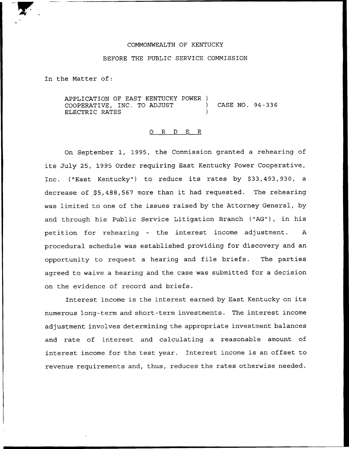## COMMONWEALTH OF KENTUCKY

#### BEFORE THE PUBLIC SERVICE COMMISSION

In the Matter of:

APPLICATION OF EAST KENTUCKY POWER ) COOPERATIVE, INC. TO ADJUST (CASE NO. 94-336) ELECTRIC RATES

#### 0 <sup>R</sup> <sup>D</sup> E R

On September 1, 1995, the Commission granted a rehearing of its July 25, 1995 Order requiring East Kentucky Power Cooperative, Inc. ("East Kentucky") to reduce its rates by \$33,493,930, a decrease of \$5,488,567 more than it had requested. The rehearing was limited to one of the issues raised by the Attorney General, by and through his Public Service Litigation Branch {"AG"), in his petition for rehearing — the interest income adjustment. <sup>A</sup> procedural schedule was established providing for discovery and an opportunity to request <sup>a</sup> hearing and file briefs. The parties agreed to waive a hearing and the case was submitted for a decision on the evidence of record and briefs.

Interest income is the interest earned by East Kentucky on its numerous long-term and short-term investments. The interest income adjustment involves determining the appropriate investment balances and rate of interest and calculating a reasonable amount of interest income for the test year. Interest income is an offset to revenue requirements and, thus, reduces the rates otherwise needed.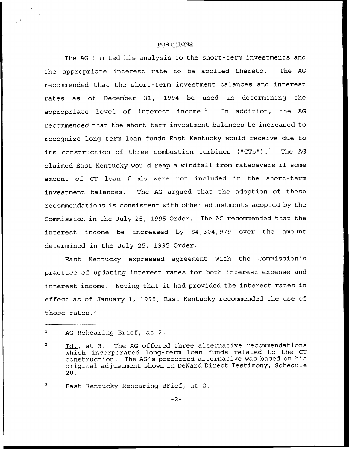#### POSITIONS

The AG limited his analysis to the short-term investments and the appropriate interest rate to be applied thereto. The AG recommended that the short-term investment balances and interest rates as of December 31, 1994 be used in determining the appropriate level of interest income.<sup>1</sup> In addition, the AG recommended that the short-term investment balances be increased to recognize long-term loan funds East Kentucky would receive due to its construction of three combustion turbines ("CTs").<sup>2</sup> The AG claimed East Kentucky would reap <sup>a</sup> windfall from ratepayers if some amount of CT loan funds were not included in the short-term investment balances. The AG argued that the adoption of these recommendations is consistent with other adjustments adopted by the Commission in the July 25, 1995 Order. The AG recommended that the interest income be increased by \$4,304,979 over the amount determined in the July 25, 1995 Order.

East Kentucky expressed agreement with the Commission's practice of updating interest rates for both interest expense and interest income. Noting that it had provided the interest rates in effect as of January 1, 1995, East Kentucky recommended the use of those rates. $3$ 

3 East Kentucky Rehearing Brief, at 2.

 $\mathbf{1}$ AG Rehearing Brief, at 2.

Id., at 3. The AG offered three alternative recommendations which incorporated long-term loan funds related to the CT construction. The AG's preferred alternative was based on his original adjustment shown in DeWard Direct Testimony, Schedule 20.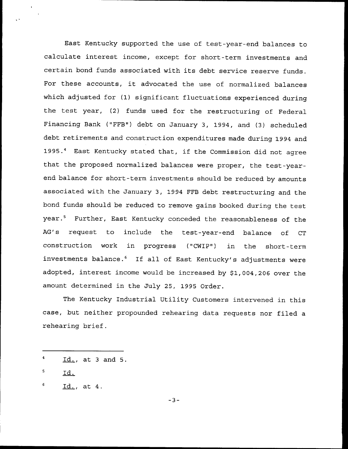East Kentucky supported the use of test-year-end balances to calculate interest income, except for short-term investments and certain bond funds associated with its debt service reserve funds. For these accounts, it advocated the use of normalized balances which adjusted for (1) significant fluctuations experienced during the test year, (2) funds used for the restructuring of Federal Financing Bank ("FFB") debt on January 3, 1994, and (3) scheduled debt retirements and construction expenditures made during 1994 and 1995.4 East Kentucky stated that, if the Commission did not agree that the proposed normalized balances were proper, the test-yearend balance for short-term investments should be reduced by amounts associated with the January 3, 1994 FFB debt restructuring and the bond funds should be reduced to remove gains booked during the test year.<sup>5</sup> Further, East Kentucky conceded the reasonableness of the AG's request to include the test-year-end balance of CT construction work in progress ("CNIP") in the short-term investments balance.<sup>6</sup> If all of East Kentucky's adjustments were adopted, interest income would be increased by \$1,004,206 over the amount determined in the July 25, 1995 Order.

The Kentucky Industrial Utility Customers intervened in this case, but neither propounded rehearing data requests nor filed a rehearing brief.

 $-3-$ 

Id., at <sup>3</sup> and 5.

<sup>5</sup> Id.

<sup>6</sup> Id., at 4.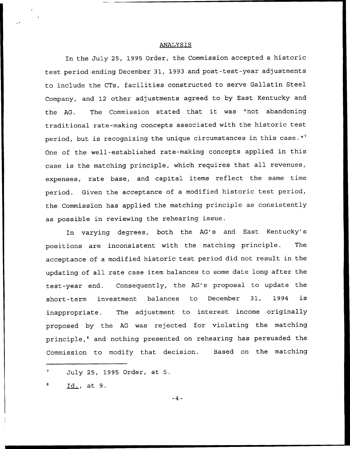#### ANALYSIS

In the July 25, 1995 Order, the Commission accepted a historic test period ending December 31, 1993 and post-test-year adjustments to include the CTs, facilities constructed to serve Gallatin Steel Company, and 12 other adjustments agreed to by East Kentucky and the AG. The Commission stated that it was "not abandoning traditional rate-making concepts associated with the historic test period, but is recognizing the unique circumstances in this case."<sup>7</sup> One of the well-established rate-making concepts applied in this case is the matching principle, which requires that all revenues, expenses, rate base, and capital items reflect the same time period. Given the acceptance of a modified historic test period, the Commission has applied the matching principle as consistently as possible in reviewing the rehearing issue.

In varying degrees, both the AG's and East Kentucky's positions are inconsistent with the matching principle. The acceptance of a modified historic test period did not result in the updating of all rate case item balances to some date long after the test-year end. Consequently, the AG's proposal to update the short-term investment balances to December 31, 1994 is inappropriate. The adjustment to interest income originally proposed by the AG was rejected for violating the matching principle,<sup>8</sup> and nothing presented on rehearing has persuaded the Commission to modify that decision. Based on the matching

Id., at 9.

 $-4-$ 

July 25, 1995 Order, at 5.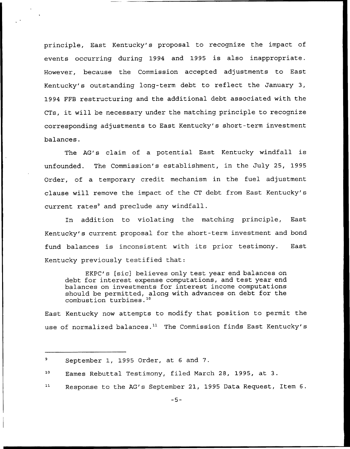principle, East Kentucky's proposal to recognize the impact of events occurring during 1994 and 1995 is also inappropriate. However, because the Commission accepted adjustments to East Kentucky's outstanding long-term debt to reflect the January 3, 1994 FFB restructuring and the additional debt associated with the CTs, it will be necessary under the matching principle to recognize corresponding adjustments to East Kentucky's short-term investment balances.

The AG's claim of a potential East Kentucky windfall is unfounded. The Commission's establishment, in the July 25, 1995 Order, of a temporary credit mechanism in the fuel adjustment clause will remove the impact of the CT debt from East Kentucky's current rates $9$  and preclude any windfall.

In addition to violating the matching principle, East Kentucky's current proposal for the short-term investment and bond fund balances is inconsistent with its prior testimony. East Kentucky previously testified that:

EKPC's [sic] believes only test year end balances on debt for interest expense computations, and test year end balances on investments for interest income computations should be permitted, along with advances on debt for the combustion turbines."

East Kentucky now attempts to modify that position to permit the use of normalized balances.<sup>11</sup> The Commission finds East Kentucky's

 $11$ Response to the AG's September 21, 1995 Data Request, Item 6.

<sup>9</sup> September 1, 1995 Order, at <sup>6</sup> and 7.

<sup>10</sup> Eames Rebuttal Testimony, filed March 28, 1995, at 3.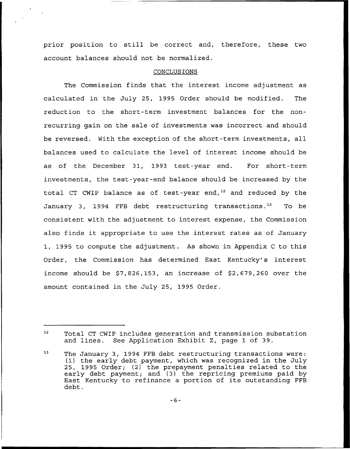prior position to still be correct and, therefore, these two account balances should not be normalized.

# CONCLUSIONS

The Commission finds that the interest income adjustment as calculated in the July 25, 1995 Order should be modified. The reduction to the short-term investment balances for the nonrecurring gain on the sale of investments was incorrect and should be reversed. With the exception of the short-term investments, all balances used to calculate the level of interest income should be as of the December 31, 1993 test-year end. For short-term investments, the test-year-end balance should be increased by the total CT CWIP balance as of test-year end, $^{12}$  and reduced by the January 3, 1994 FFB debt restructuring transactions." To be consistent with the adjustment to interest expense, the Commission also finds it appropriate to use the interest rates as of January 1, 1995 to compute the adjustment. As shown in Appendix <sup>C</sup> to this Order, the Commission has determined East Kentucky's interest income should be \$7,826,153, an increase of \$2,679,260 over the amount contained in the July 25, 1995 Order.

 $12$ Total CT CWIP includes generation and transmission substation and lines. See Application Exhibit Z, page 1 of 39.

<sup>13</sup> The January 3, 1994 FFB debt restructuring transactions were: (1} the early debt payment, which was recognized in the July 25, 1995 Order; (2} the prepayment penalties related to the early debt payment; and (3) the repricing premiums paid by East Kentucky to refinance <sup>a</sup> portion of its outstanding FFB debt.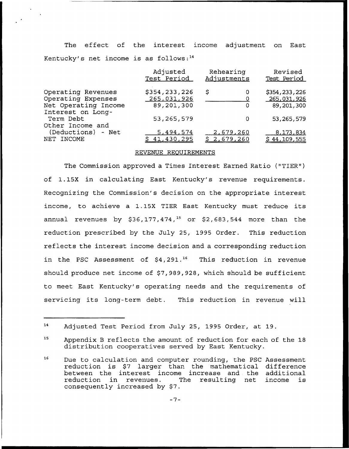The effect of the interest income adjustment on East Kentucky's net income is as follows: $14$ 

| Adjusted<br>Test Period | Rehearing<br>Adjustments | Revised<br>Test Period |
|-------------------------|--------------------------|------------------------|
| \$354,233,226           | \$<br>0                  | \$354,233,226          |
| 265,031,926             |                          | 265,031,926            |
| 89,201,300              | 0                        | 89,201,300             |
|                         |                          |                        |
| 53, 265, 579            | 0                        | 53, 265, 579           |
|                         |                          |                        |
| 5,494,574               | 2,679,260                | 8,173,834              |
| \$41,430,295            | \$2,679,260              | \$44,109,555           |
|                         |                          |                        |

## REVENUE REQUIREMENTS

The Commission approved a Times Interest Earned Ratio ("TIER" ) of 1.15X in calculating East Kentucky's revenue requirements. Recognizing the Commission's decision on the appropriate interest income, to achieve <sup>a</sup> 1.15X TIER East Kentucky must reduce its annual revenues by \$36,177,474,<sup>15</sup> or \$2,683,544 more than the reduction prescribed by the July 25, 1995 Order. This reduction reflects the interest income decision and a corresponding reduction in the PSC Assessment of \$4,291.<sup>16</sup> This reduction in revenue should produce net income of \$7,989,928, which should be sufficient to meet East Kentucky's operating needs and the requirements of servicing its long-term debt. This reduction in revenue will

<sup>14</sup> Adjusted Test Period from July 25, 1995 Order, at 19.

<sup>&</sup>lt;sup>15</sup> Appendix B reflects the amount of reduction for each of the 18 distribution cooperatives served by East Kentucky.

<sup>16</sup> Due to calculation and computer rounding, the PSC Assessment reduction is \$7 larger than the mathematical difference between the interest income increase and the additional<br>reduction in revenues. The resulting net income is reduction in revenues. consequently increased by \$7.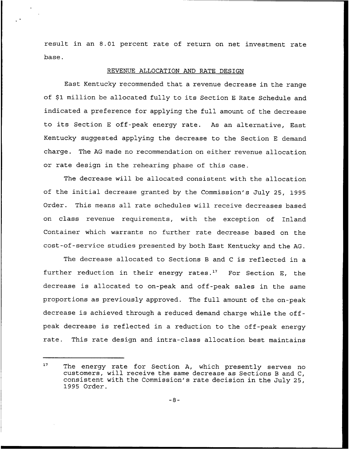result in an 8.01 percent rate of return on net investment rate base.

# REVENUE ALLOCATION AND RATE DESIGN

East Kentucky recommended that a revenue decrease in the range of \$1 million be allocated fully to its Section E Rate Schedule and indicated a preference for applying the full amount of the decrease to its Section <sup>E</sup> off-peak energy rate. As an alternative, East Kentucky suggested applying the decrease to the Section <sup>E</sup> demand charge. The AG made no recommendation on either revenue allocation or rate design in the rehearing phase of this case.

The decrease will be allocated consistent with the allocation of the initial decrease granted by the Commission's July 25, 1995 Order. This means all rate schedules will receive decreases based on class revenue requirements, with the exception of Inland Container which warrants no further rate decrease based on the cost-of-service studies presented by both East Kentucky and the AG.

The decrease allocated to Sections <sup>B</sup> and <sup>C</sup> is reflected in a further reduction in their energy rates." For Section E, the decrease is allocated to on-peak and off-peak sales in the same proportions as previously approved. The full amount of the on-peak decrease is achieved through a reduced demand charge while the offpeak decrease is reflected in a reduction to the off-peak energy rate. This rate design and intra-class allocation best maintains

<sup>&</sup>lt;sup>17</sup> The energy rate for Section A, which presently serves no customers, will receive the same decrease as Sections <sup>B</sup> and C, consistent with the Commission's rate decision in the July 25, 1995 Order.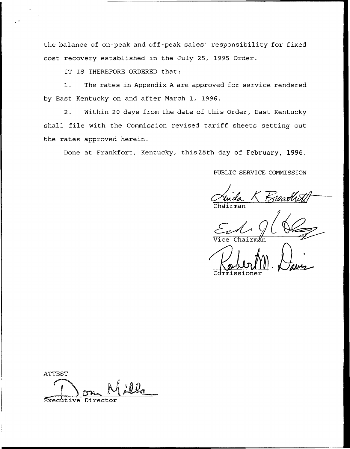the balance of on-peak and off-peak sales' responsibility for fixed cost recovery established in the July 25, 1995 Order.

IT IS THEREFORE ORDERED that:

1. The rates in Appendix <sup>A</sup> are approved for service rendered by East Kentucky on and after March 1, 1996.

2. Within 20 days from the date of this Order, East Kentucky shall file with the Commission revised tariff sheets setting out the rates approved herein.

Done at Frankfort, Kentucky, this28th day of February, 1996.

PUBLIC SERVICE COMMISSION

 $Chdirm$ a $\,$ 

Vice Chairman Commissioner

ATTEST Executive Director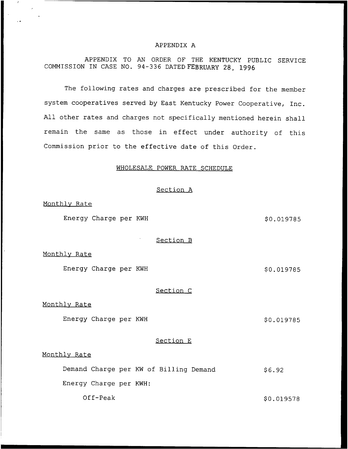#### APPENDIX A

APPENDIX TO AN ORDER OF THE KENTUCKY PUBLIC SERVICE COMMISSION IN CASE NO. 94-336 DATED FEBRUARY 28, 1996

The following rates and charges are prescribed for the member system cooperatives served by East Kentucky Power Cooperative, Inc. All other rates and charges not specifically mentioned herein shall remain the same as those in effect under authority of this Commission prior to the effective date of this Order.

# WHOLESALE POWER RATE SCHEDULE

# Section <sup>A</sup>

Monthlv Rate

Energy Charge per KWH  $$0.019785$ 

Section B

Monthlv Rate

Energy Charge per KWH  $$0.019785$ 

Section <sup>C</sup>

Monthlv Rate

Energy Charge per KWH  $$0.019785$ 

# Section E

# Monthlv Rate

Demand Charge per KW of Billing Demand  $$6.92$ 

Energy Charge per KWH:

Off-Peak  $$0.019578$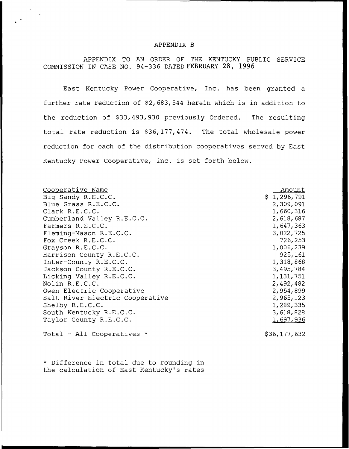#### APPENDIX B

APPENDIX TO AN ORDER OF THE KENTUCKY PUBLIC SERVICE COMMISSION IN CASE NO. 94-336 DATED FEBRUARY 28, 1996

East Kentucky Power Cooperative, Inc. has been granted a further rate reduction of  $$2,683,544$  herein which is in addition to the reduction of \$33,493,930 previously Ordered. The resulting total rate reduction is \$36,177,474. The total wholesale power reduction for each of the distribution cooperatives served by East Kentucky Power Cooperative, Inc. is set forth below.

| Cooperative Name                | Amount           |
|---------------------------------|------------------|
| Big Sandy R.E.C.C.              | \$1,296,791      |
| Blue Grass R.E.C.C.             | 2,309,091        |
| Clark R.E.C.C.                  | 1,660,316        |
| Cumberland Valley R.E.C.C.      | 2,618,687        |
| Farmers R.E.C.C.                | 1,647,363        |
| Fleming-Mason R.E.C.C.          | 3,022,725        |
| Fox Creek R.E.C.C.              | 726,253          |
| Grayson R.E.C.C.                | 1,006,239        |
| Harrison County R.E.C.C.        | 925,161          |
| Inter-County R.E.C.C.           | 1,318,868        |
| Jackson County R.E.C.C.         | 3,495,784        |
| Licking Valley R.E.C.C.         | 1, 131, 751      |
| Nolin R.E.C.C.                  | 2,492,482        |
| Owen Electric Cooperative       | 2,954,899        |
| Salt River Electric Cooperative | 2,965,123        |
| Shelby R.E.C.C.                 | 1,289,335        |
| South Kentucky R.E.C.C.         | 3,618,828        |
| Taylor County R.E.C.C.          | <u>1,697,936</u> |
| Total - All Cooperatives *      | \$36,177,632     |

\* Difference in total due to rounding in the calculation of East Kentucky's rates